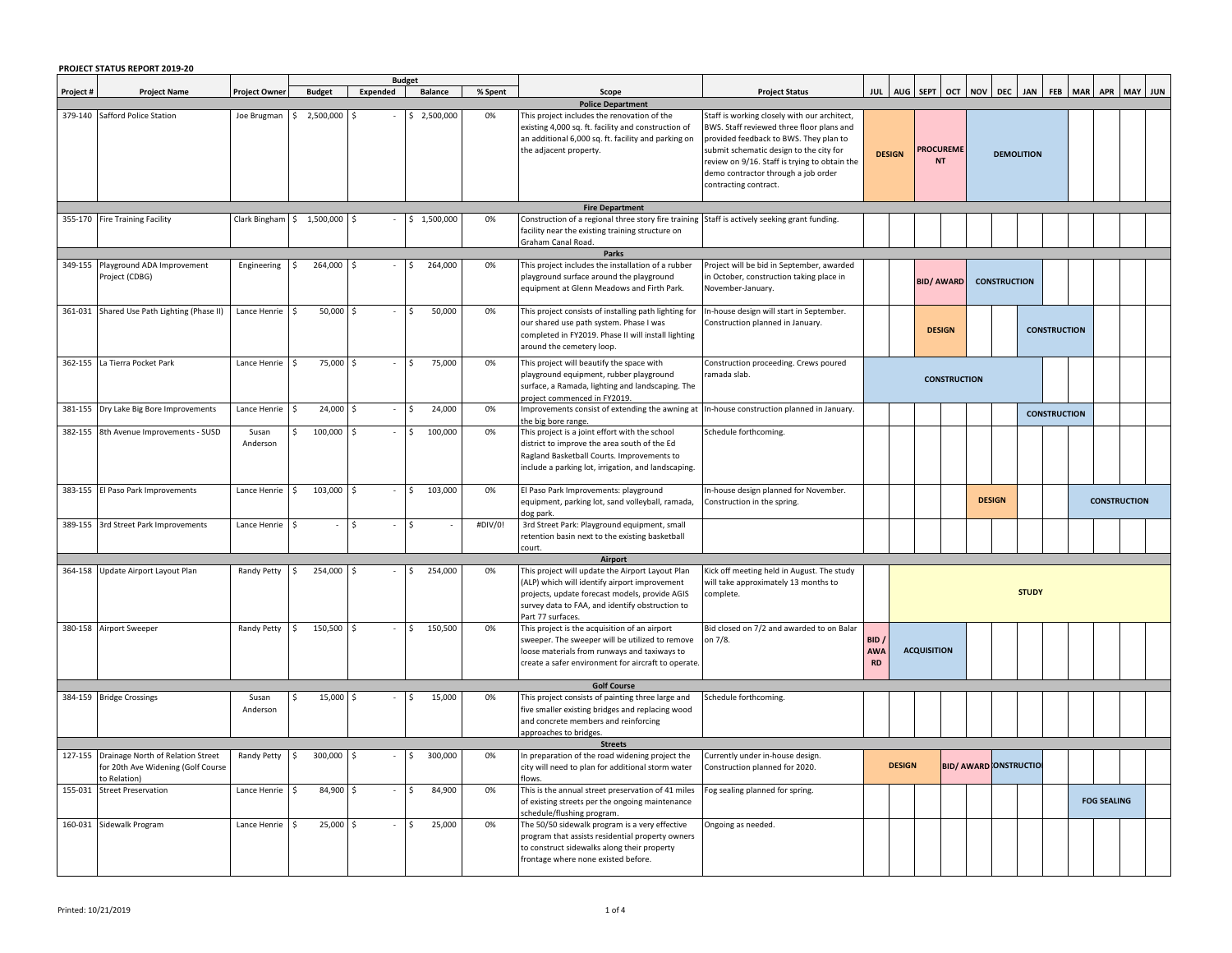|                                             | PROJECT STATUS REPORT 2019-20                                                                  |                      |                               |          |                          |         |                                                                                                                                                                                                                             |                                                                                                                                                                                                                                                                                                 |                                 |                                      |                                                      |  |                              |                   |                     |  |                    |         |  |
|---------------------------------------------|------------------------------------------------------------------------------------------------|----------------------|-------------------------------|----------|--------------------------|---------|-----------------------------------------------------------------------------------------------------------------------------------------------------------------------------------------------------------------------------|-------------------------------------------------------------------------------------------------------------------------------------------------------------------------------------------------------------------------------------------------------------------------------------------------|---------------------------------|--------------------------------------|------------------------------------------------------|--|------------------------------|-------------------|---------------------|--|--------------------|---------|--|
| Project #                                   | <b>Project Name</b>                                                                            | <b>Project Owner</b> | <b>Budget</b>                 | Expended | <b>Budget</b><br>Balance | % Spent | Scope                                                                                                                                                                                                                       | <b>Project Status</b>                                                                                                                                                                                                                                                                           |                                 |                                      | AUG   SEPT   OCT   NOV   DEC   JAN   FEB   MAR   APR |  |                              |                   |                     |  |                    | MAY JUN |  |
|                                             |                                                                                                |                      |                               |          |                          |         | <b>Police Department</b>                                                                                                                                                                                                    |                                                                                                                                                                                                                                                                                                 |                                 |                                      |                                                      |  |                              |                   |                     |  |                    |         |  |
|                                             | 379-140 Safford Police Station                                                                 | Joe Brugman          | 2,500,000<br>-S               |          | 2,500,000<br>Ś.          | 0%      | This project includes the renovation of the<br>existing 4,000 sq. ft. facility and construction of<br>an additional 6,000 sq. ft. facility and parking on<br>the adjacent property.                                         | Staff is working closely with our architect,<br>BWS. Staff reviewed three floor plans and<br>provided feedback to BWS. They plan to<br>submit schematic design to the city for<br>review on 9/16. Staff is trying to obtain the<br>demo contractor through a job order<br>contracting contract. | <b>DESIGN</b>                   |                                      | <b>PROCUREME</b><br><b>NT</b>                        |  |                              | <b>DEMOLITION</b> |                     |  |                    |         |  |
|                                             |                                                                                                |                      |                               |          |                          |         | <b>Fire Department</b>                                                                                                                                                                                                      |                                                                                                                                                                                                                                                                                                 |                                 |                                      |                                                      |  |                              |                   |                     |  |                    |         |  |
|                                             | 355-170 Fire Training Facility                                                                 |                      | Clark Bingham \$ 1,500,000    |          | \$1,500,000              | 0%      | Construction of a regional three story fire training<br>facility near the existing training structure on<br>Graham Canal Road.                                                                                              | Staff is actively seeking grant funding.                                                                                                                                                                                                                                                        |                                 |                                      |                                                      |  |                              |                   |                     |  |                    |         |  |
| Parks<br>349-155 Playground ADA Improvement |                                                                                                |                      |                               |          |                          |         |                                                                                                                                                                                                                             |                                                                                                                                                                                                                                                                                                 |                                 |                                      |                                                      |  |                              |                   |                     |  |                    |         |  |
|                                             | Project (CDBG)                                                                                 | Engineering          | 264,000                       |          | 264,000<br>Ś             | 0%      | This project includes the installation of a rubber<br>playground surface around the playground<br>equipment at Glenn Meadows and Firth Park.                                                                                | Project will be bid in September, awarded<br>in October, construction taking place in<br>November-January.                                                                                                                                                                                      |                                 |                                      | <b>BID/ AWARD</b>                                    |  | <b>CONSTRUCTION</b>          |                   |                     |  |                    |         |  |
|                                             | 361-031 Shared Use Path Lighting (Phase II)                                                    | Lance Henrie         | 50,000<br>l \$                |          | 50,000<br>Ŝ              | 0%      | This project consists of installing path lighting for<br>our shared use path system. Phase I was<br>completed in FY2019. Phase II will install lighting<br>around the cemetery loop.                                        | In-house design will start in September.<br>Construction planned in January.                                                                                                                                                                                                                    |                                 | <b>DESIGN</b><br><b>CONSTRUCTION</b> |                                                      |  |                              |                   |                     |  |                    |         |  |
|                                             | 362-155 La Tierra Pocket Park                                                                  | Lance Henrie         | 75,000<br>-Ŝ                  |          | 75,000<br>Ŝ.             | 0%      | This project will beautify the space with<br>playground equipment, rubber playground<br>surface, a Ramada, lighting and landscaping. The<br>project commenced in FY2019.                                                    | Construction proceeding. Crews poured<br>ramada slab.                                                                                                                                                                                                                                           |                                 | <b>CONSTRUCTION</b>                  |                                                      |  |                              |                   |                     |  |                    |         |  |
| 381-155                                     | Dry Lake Big Bore Improvements                                                                 | Lance Henrie         | 24,000                        |          | 24,000                   | 0%      | mprovements consist of extending the awning at<br>the big bore range.                                                                                                                                                       | In-house construction planned in January.                                                                                                                                                                                                                                                       |                                 |                                      |                                                      |  |                              |                   | <b>CONSTRUCTION</b> |  |                    |         |  |
|                                             | 382-155 8th Avenue Improvements - SUSD                                                         | Susan<br>Anderson    | 100,000                       |          | 100,000                  | 0%      | This project is a joint effort with the school<br>district to improve the area south of the Ed<br>Ragland Basketball Courts. Improvements to<br>include a parking lot, irrigation, and landscaping.                         | Schedule forthcoming.                                                                                                                                                                                                                                                                           |                                 |                                      |                                                      |  |                              |                   |                     |  |                    |         |  |
| 383-155                                     | El Paso Park Improvements                                                                      | Lance Henrie         | 103,000<br>$\mathsf{S}$       |          | 103,000<br>Ś.            | 0%      | El Paso Park Improvements: playground<br>equipment, parking lot, sand volleyball, ramada,<br>dog park.                                                                                                                      | In-house design planned for November.<br>Construction in the spring.                                                                                                                                                                                                                            |                                 | <b>DESIGN</b><br><b>CONSTRUCTION</b> |                                                      |  |                              |                   |                     |  |                    |         |  |
|                                             | 389-155 3rd Street Park Improvements                                                           | Lance Henrie         | -Ŝ                            | Ŝ.       | Ŝ                        | #DIV/0! | 3rd Street Park: Playground equipment, small<br>retention basin next to the existing basketball<br>court.                                                                                                                   |                                                                                                                                                                                                                                                                                                 |                                 |                                      |                                                      |  |                              |                   |                     |  |                    |         |  |
|                                             |                                                                                                |                      |                               |          |                          |         | Airport                                                                                                                                                                                                                     |                                                                                                                                                                                                                                                                                                 |                                 |                                      |                                                      |  |                              |                   |                     |  |                    |         |  |
|                                             | 364-158 Update Airport Layout Plan                                                             | Randy Petty          | 254,000<br>$\ddot{\varsigma}$ |          | 254,000                  | 0%      | This project will update the Airport Layout Plan<br>(ALP) which will identify airport improvement<br>projects, update forecast models, provide AGIS<br>survey data to FAA, and identify obstruction to<br>Part 77 surfaces. | Kick off meeting held in August. The study<br>will take approximately 13 months to<br>complete.                                                                                                                                                                                                 |                                 |                                      |                                                      |  |                              | <b>STUDY</b>      |                     |  |                    |         |  |
|                                             | 380-158 Airport Sweeper                                                                        | Randy Petty          | 150,500<br>$\mathsf{S}$       |          | 150,500                  | 0%      | This project is the acquisition of an airport<br>sweeper. The sweeper will be utilized to remove<br>loose materials from runways and taxiways to<br>create a safer environment for aircraft to operate.                     | Bid closed on 7/2 and awarded to on Balar<br>on 7/8.                                                                                                                                                                                                                                            | BID/<br><b>AWA</b><br><b>RD</b> |                                      | <b>ACQUISITION</b>                                   |  |                              |                   |                     |  |                    |         |  |
|                                             | 384-159 Bridge Crossings                                                                       |                      | 15,000                        |          | 15,000<br>Ś              | 0%      | <b>Golf Course</b><br>This project consists of painting three large and                                                                                                                                                     | schedule forthcoming.                                                                                                                                                                                                                                                                           |                                 |                                      |                                                      |  |                              |                   |                     |  |                    |         |  |
|                                             |                                                                                                | Susan<br>Anderson    |                               |          |                          |         | five smaller existing bridges and replacing wood<br>and concrete members and reinforcing<br>approaches to bridges.                                                                                                          |                                                                                                                                                                                                                                                                                                 |                                 |                                      |                                                      |  |                              |                   |                     |  |                    |         |  |
|                                             |                                                                                                |                      |                               |          |                          |         | <b>Streets</b>                                                                                                                                                                                                              |                                                                                                                                                                                                                                                                                                 |                                 |                                      |                                                      |  |                              |                   |                     |  |                    |         |  |
|                                             | 127-155 Drainage North of Relation Street<br>for 20th Ave Widening (Golf Course<br>o Relation) | Randy Petty          | 300,000<br>$\mathsf{S}$       | l \$     | 300,000<br>Ŝ.            | 0%      | In preparation of the road widening project the<br>city will need to plan for additional storm water<br>ilows.                                                                                                              | Currently under in-house design.<br>Construction planned for 2020.                                                                                                                                                                                                                              |                                 | <b>DESIGN</b>                        |                                                      |  | <b>BID/ AWARD ONSTRUCTIO</b> |                   |                     |  |                    |         |  |
| 155-031                                     | <b>Street Preservation</b>                                                                     | Lance Henrie         | 84,900<br><b>S</b>            |          | 84,900                   | 0%      | This is the annual street preservation of 41 miles<br>of existing streets per the ongoing maintenance<br>schedule/flushing program.                                                                                         | Fog sealing planned for spring.                                                                                                                                                                                                                                                                 |                                 |                                      |                                                      |  |                              |                   |                     |  | <b>FOG SEALING</b> |         |  |
|                                             | 160-031 Sidewalk Program                                                                       | Lance Henrie         | 25,000                        |          | 25,000                   | 0%      | The 50/50 sidewalk program is a very effective<br>program that assists residential property owners<br>to construct sidewalks along their property<br>frontage where none existed before.                                    | Ongoing as needed.                                                                                                                                                                                                                                                                              |                                 |                                      |                                                      |  |                              |                   |                     |  |                    |         |  |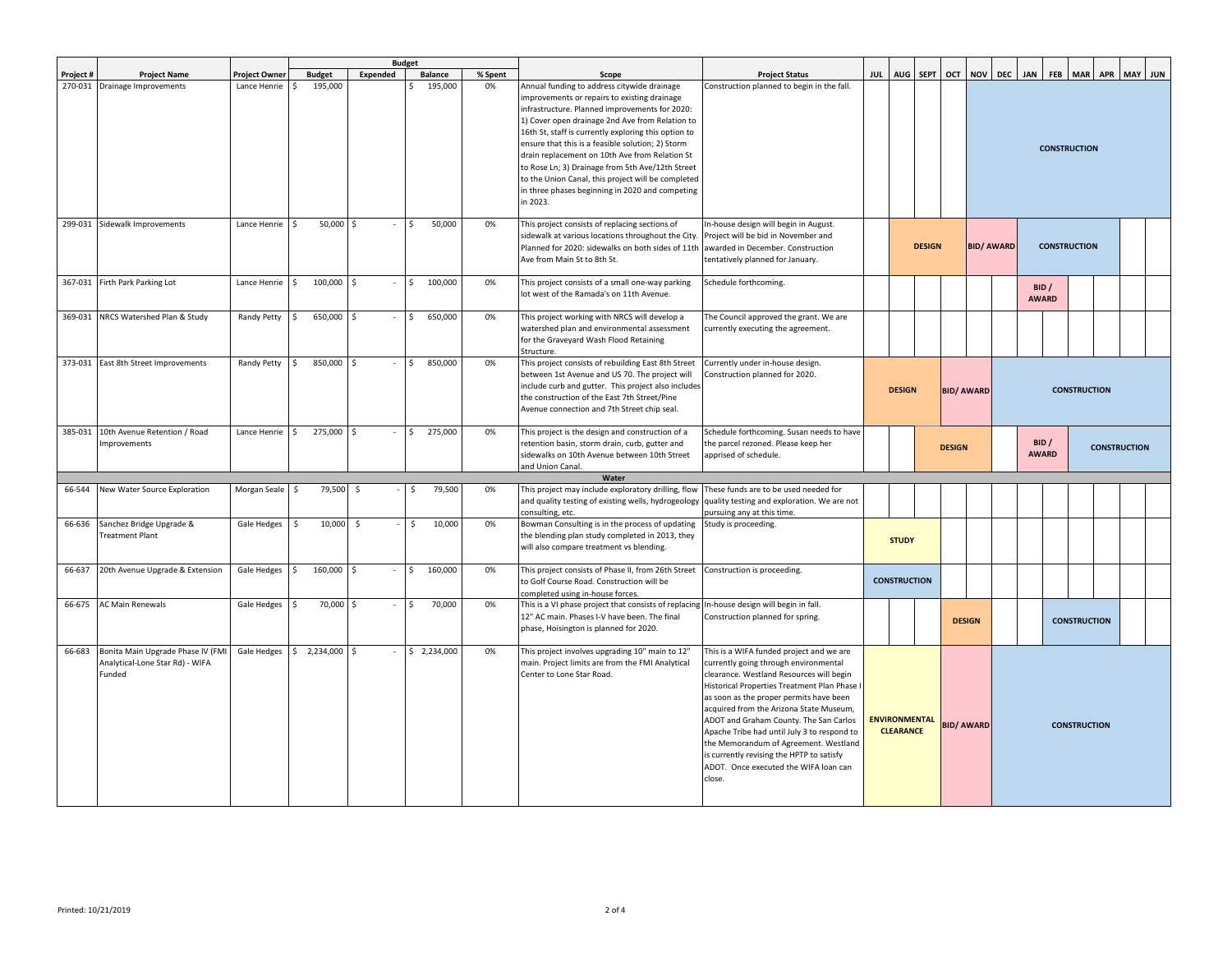|           |                                                                                |               |                            |                     | <b>Budget</b>      |         |                                                                                                                                                                                                                                                                                                                                                                                                                                                                                                                                          |                                                                                                                                                                                                                                                                                                                                                                                                                                                                                                       |                                          |               |                   |                   |                       |                       |            |                     |  |         |  |  |  |
|-----------|--------------------------------------------------------------------------------|---------------|----------------------------|---------------------|--------------------|---------|------------------------------------------------------------------------------------------------------------------------------------------------------------------------------------------------------------------------------------------------------------------------------------------------------------------------------------------------------------------------------------------------------------------------------------------------------------------------------------------------------------------------------------------|-------------------------------------------------------------------------------------------------------------------------------------------------------------------------------------------------------------------------------------------------------------------------------------------------------------------------------------------------------------------------------------------------------------------------------------------------------------------------------------------------------|------------------------------------------|---------------|-------------------|-------------------|-----------------------|-----------------------|------------|---------------------|--|---------|--|--|--|
| Project # | <b>Project Name</b>                                                            | Project Owner | <b>Budget</b>              | Expended            | <b>Balance</b>     | % Spent | Scope                                                                                                                                                                                                                                                                                                                                                                                                                                                                                                                                    | <b>Project Status</b>                                                                                                                                                                                                                                                                                                                                                                                                                                                                                 |                                          | JUL AUG SEPT  |                   |                   | OCT NOV DEC JAN       |                       | <b>FEB</b> | MAR APR             |  | MAY JUN |  |  |  |
|           | 270-031 Drainage Improvements                                                  | Lance Henrie  | 195,000                    |                     | 195,000            | 0%      | Annual funding to address citywide drainage<br>improvements or repairs to existing drainage<br>infrastructure. Planned improvements for 2020:<br>1) Cover open drainage 2nd Ave from Relation to<br>16th St, staff is currently exploring this option to<br>ensure that this is a feasible solution; 2) Storm<br>drain replacement on 10th Ave from Relation St<br>to Rose Ln; 3) Drainage from 5th Ave/12th Street<br>to the Union Canal, this project will be completed<br>in three phases beginning in 2020 and competing<br>in 2023. | Construction planned to begin in the fall.                                                                                                                                                                                                                                                                                                                                                                                                                                                            |                                          |               |                   |                   |                       | <b>CONSTRUCTION</b>   |            |                     |  |         |  |  |  |
|           | 299-031 Sidewalk Improvements                                                  | Lance Henrie  | Ŝ.<br>$50,000$ \$          |                     | 50,000             | 0%      | This project consists of replacing sections of<br>sidewalk at various locations throughout the City.<br>Planned for 2020: sidewalks on both sides of 11th<br>Ave from Main St to 8th St.                                                                                                                                                                                                                                                                                                                                                 | In-house design will begin in August.<br>Project will be bid in November and<br>awarded in December. Construction<br>tentatively planned for January.                                                                                                                                                                                                                                                                                                                                                 |                                          | <b>DESIGN</b> |                   | <b>BID/ AWARD</b> |                       | <b>CONSTRUCTION</b>   |            |                     |  |         |  |  |  |
|           | 367-031 Firth Park Parking Lot                                                 | Lance Henrie  | 100,000 \$<br>$\mathsf{S}$ |                     | 100,000<br>$\zeta$ | 0%      | This project consists of a small one-way parking<br>lot west of the Ramada's on 11th Avenue.                                                                                                                                                                                                                                                                                                                                                                                                                                             | Schedule forthcoming.                                                                                                                                                                                                                                                                                                                                                                                                                                                                                 |                                          |               |                   |                   |                       | BID /<br><b>AWARD</b> |            |                     |  |         |  |  |  |
| 369-031   | NRCS Watershed Plan & Study                                                    | Randy Petty   | 650,000 \$<br>Ŝ            |                     | 650,000            | 0%      | This project working with NRCS will develop a<br>watershed plan and environmental assessment<br>for the Graveyard Wash Flood Retaining<br>Structure.                                                                                                                                                                                                                                                                                                                                                                                     | The Council approved the grant. We are<br>currently executing the agreement.                                                                                                                                                                                                                                                                                                                                                                                                                          |                                          |               |                   |                   |                       |                       |            |                     |  |         |  |  |  |
|           | 373-031 East 8th Street Improvements                                           | Randy Petty   | 850,000 \$<br>\$           |                     | 850,000<br>$\leq$  | 0%      | This project consists of rebuilding East 8th Street<br>between 1st Avenue and US 70. The project will<br>include curb and gutter. This project also includes<br>the construction of the East 7th Street/Pine<br>Avenue connection and 7th Street chip seal.                                                                                                                                                                                                                                                                              | Currently under in-house design<br>Construction planned for 2020.                                                                                                                                                                                                                                                                                                                                                                                                                                     | <b>DESIGN</b>                            |               | <b>BID/ AWARD</b> |                   | <b>CONSTRUCTION</b>   |                       |            |                     |  |         |  |  |  |
|           | 385-031 10th Avenue Retention / Road<br>nprovements                            | Lance Henrie  | 275,000 \$<br>\$           |                     | 275,000<br>Š.      | 0%      | This project is the design and construction of a<br>retention basin, storm drain, curb, gutter and<br>sidewalks on 10th Avenue between 10th Street<br>and Union Canal                                                                                                                                                                                                                                                                                                                                                                    | Schedule forthcoming. Susan needs to have<br>the parcel rezoned. Please keep her<br>apprised of schedule.                                                                                                                                                                                                                                                                                                                                                                                             |                                          |               | <b>DESIGN</b>     |                   | BID /<br><b>AWARD</b> |                       |            | <b>CONSTRUCTION</b> |  |         |  |  |  |
|           |                                                                                |               |                            |                     |                    |         | Water                                                                                                                                                                                                                                                                                                                                                                                                                                                                                                                                    |                                                                                                                                                                                                                                                                                                                                                                                                                                                                                                       |                                          |               |                   |                   |                       |                       |            |                     |  |         |  |  |  |
| 66-544    | New Water Source Exploration                                                   | Morgan Seale  | 79,500<br>\$               | -\$                 | 79,500<br>\$       | 0%      | This project may include exploratory drilling, flow<br>and quality testing of existing wells, hydrogeology<br>consulting, etc.                                                                                                                                                                                                                                                                                                                                                                                                           | These funds are to be used needed for<br>quality testing and exploration. We are not<br>pursuing any at this time.                                                                                                                                                                                                                                                                                                                                                                                    |                                          |               |                   |                   |                       |                       |            |                     |  |         |  |  |  |
| 66-636    | Sanchez Bridge Upgrade &<br>Freatment Plant                                    | Gale Hedges   | \$<br>10,000               | $\ddot{\mathsf{S}}$ | 10,000<br>\$.      | 0%      | Bowman Consulting is in the process of updating<br>the blending plan study completed in 2013, they<br>will also compare treatment vs blending.                                                                                                                                                                                                                                                                                                                                                                                           | Study is proceeding.                                                                                                                                                                                                                                                                                                                                                                                                                                                                                  | <b>STUDY</b>                             |               |                   |                   |                       |                       |            |                     |  |         |  |  |  |
| 66-637    | 20th Avenue Upgrade & Extension                                                | Gale Hedges   | 160,000 \$<br>\$           |                     | 160,000            | 0%      | This project consists of Phase II, from 26th Street<br>to Golf Course Road. Construction will be<br>completed using in-house forces.                                                                                                                                                                                                                                                                                                                                                                                                     | Construction is proceeding.                                                                                                                                                                                                                                                                                                                                                                                                                                                                           | <b>CONSTRUCTION</b>                      |               |                   |                   |                       |                       |            |                     |  |         |  |  |  |
| 66-675    | <b>AC Main Renewals</b>                                                        | Gale Hedges   | 70,000 \$<br>\$            |                     | 70,000<br>Š.       | 0%      | This is a VI phase project that consists of replacing In-house design will begin in fall.<br>12" AC main. Phases I-V have been. The final<br>phase, Hoisington is planned for 2020.                                                                                                                                                                                                                                                                                                                                                      | Construction planned for spring.                                                                                                                                                                                                                                                                                                                                                                                                                                                                      |                                          |               | <b>DESIGN</b>     |                   |                       |                       |            | <b>CONSTRUCTION</b> |  |         |  |  |  |
| 66-683    | Bonita Main Upgrade Phase IV (FMI<br>Analytical-Lone Star Rd) - WIFA<br>Funded | Gale Hedges   | $$2,234,000$ \$            |                     | \$2,234,000        | 0%      | This project involves upgrading 10" main to 12"<br>main. Project limits are from the FMI Analytical<br>Center to Lone Star Road.                                                                                                                                                                                                                                                                                                                                                                                                         | This is a WIFA funded project and we are<br>currently going through environmental<br>clearance. Westland Resources will begin<br>Historical Properties Treatment Plan Phase I<br>as soon as the proper permits have been<br>acquired from the Arizona State Museum,<br>ADOT and Graham County. The San Carlos<br>Apache Tribe had until July 3 to respond to<br>the Memorandum of Agreement. Westland<br>is currently revising the HPTP to satisfy<br>ADOT. Once executed the WIFA loan can<br>close. | <b>ENVIRONMENTAL</b><br><b>CLEARANCE</b> |               |                   | <b>BID/ AWARD</b> | <b>CONSTRUCTION</b>   |                       |            |                     |  |         |  |  |  |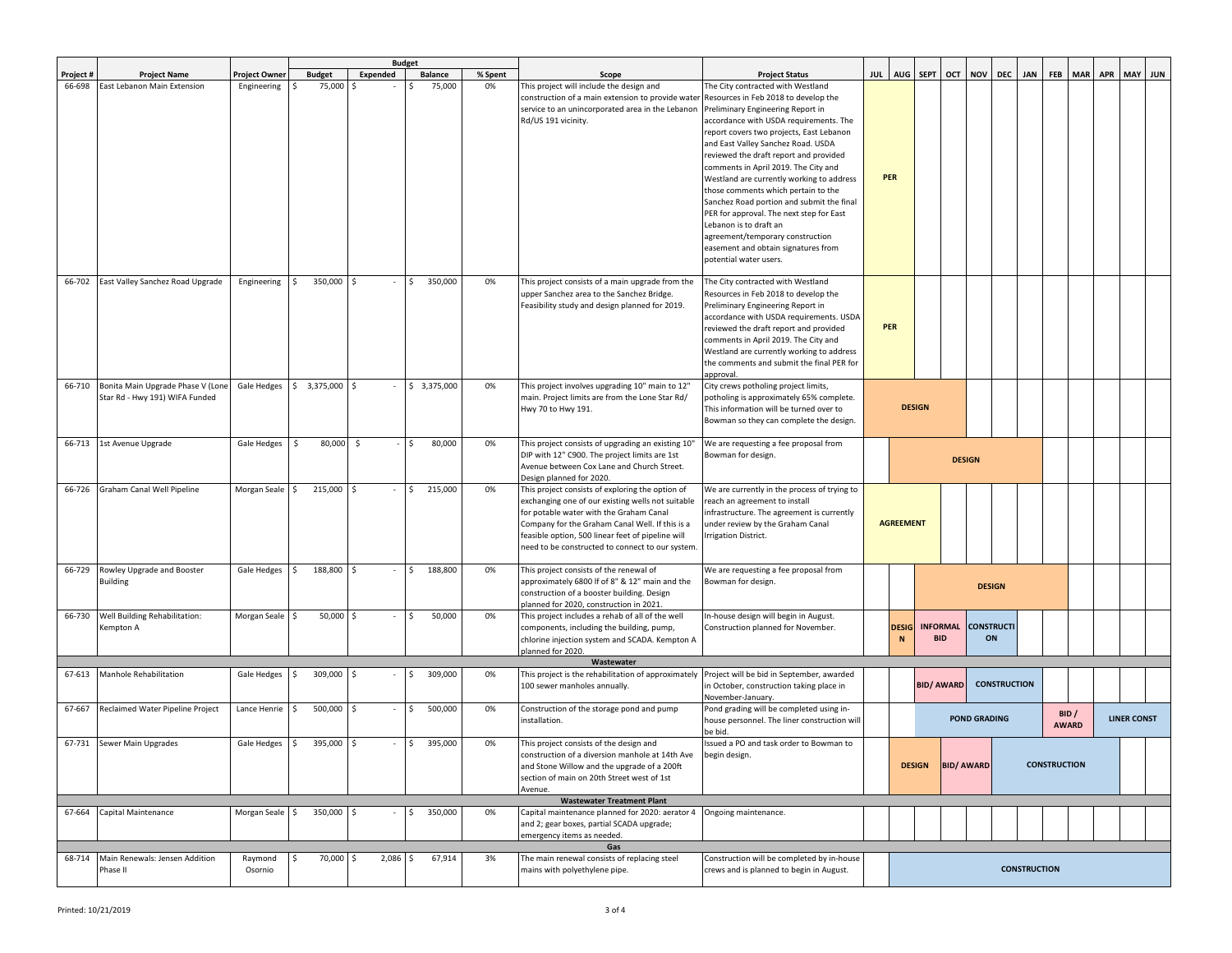|           |                                   |                 |                             |                    | <b>Budget</b>  |         |                                                                                       |                                                                                        |  |                  |                   |                   |                     |                     |                     |                     |                 |                    |  |
|-----------|-----------------------------------|-----------------|-----------------------------|--------------------|----------------|---------|---------------------------------------------------------------------------------------|----------------------------------------------------------------------------------------|--|------------------|-------------------|-------------------|---------------------|---------------------|---------------------|---------------------|-----------------|--------------------|--|
| Project # | <b>Project Name</b>               | Project Owner   | <b>Budget</b>               | Expended           | <b>Balance</b> | % Spent | Scope                                                                                 | <b>Project Status</b>                                                                  |  |                  | JUL AUG SEPT      | OCT NOV DEC       |                     |                     | <b>JAN</b>          | <b>FEB</b>          | MAR APR MAY JUN |                    |  |
| 66-698    | East Lebanon Main Extension       | Engineering     | 75,000<br>\$                | Ś                  | 75,000<br>Ś.   | 0%      | This project will include the design and                                              | The City contracted with Westland                                                      |  |                  |                   |                   |                     |                     |                     |                     |                 |                    |  |
|           |                                   |                 |                             |                    |                |         | construction of a main extension to provide water                                     | Resources in Feb 2018 to develop the                                                   |  |                  |                   |                   |                     |                     |                     |                     |                 |                    |  |
|           |                                   |                 |                             |                    |                |         | service to an unincorporated area in the Lebanon                                      | Preliminary Engineering Report in                                                      |  |                  |                   |                   |                     |                     |                     |                     |                 |                    |  |
|           |                                   |                 |                             |                    |                |         | Rd/US 191 vicinity.                                                                   | accordance with USDA requirements. The                                                 |  |                  |                   |                   |                     |                     |                     |                     |                 |                    |  |
|           |                                   |                 |                             |                    |                |         |                                                                                       | report covers two projects, East Lebanon                                               |  |                  |                   |                   |                     |                     |                     |                     |                 |                    |  |
|           |                                   |                 |                             |                    |                |         |                                                                                       | and East Valley Sanchez Road. USDA                                                     |  |                  |                   |                   |                     |                     |                     |                     |                 |                    |  |
|           |                                   |                 |                             |                    |                |         |                                                                                       | reviewed the draft report and provided                                                 |  |                  |                   |                   |                     |                     |                     |                     |                 |                    |  |
|           |                                   |                 |                             |                    |                |         |                                                                                       | comments in April 2019. The City and<br>Westland are currently working to address      |  | <b>PER</b>       |                   |                   |                     |                     |                     |                     |                 |                    |  |
|           |                                   |                 |                             |                    |                |         |                                                                                       | those comments which pertain to the                                                    |  |                  |                   |                   |                     |                     |                     |                     |                 |                    |  |
|           |                                   |                 |                             |                    |                |         |                                                                                       | Sanchez Road portion and submit the final                                              |  |                  |                   |                   |                     |                     |                     |                     |                 |                    |  |
|           |                                   |                 |                             |                    |                |         |                                                                                       | PER for approval. The next step for East                                               |  |                  |                   |                   |                     |                     |                     |                     |                 |                    |  |
|           |                                   |                 |                             |                    |                |         |                                                                                       | Lebanon is to draft an                                                                 |  |                  |                   |                   |                     |                     |                     |                     |                 |                    |  |
|           |                                   |                 |                             |                    |                |         |                                                                                       | agreement/temporary construction                                                       |  |                  |                   |                   |                     |                     |                     |                     |                 |                    |  |
|           |                                   |                 |                             |                    |                |         |                                                                                       | easement and obtain signatures from                                                    |  |                  |                   |                   |                     |                     |                     |                     |                 |                    |  |
|           |                                   |                 |                             |                    |                |         |                                                                                       | potential water users.                                                                 |  |                  |                   |                   |                     |                     |                     |                     |                 |                    |  |
|           |                                   |                 |                             |                    |                |         |                                                                                       |                                                                                        |  |                  |                   |                   |                     |                     |                     |                     |                 |                    |  |
| 66-702    | East Valley Sanchez Road Upgrade  | Engineering     | 350,000<br>\$               | Ŝ.                 | 350,000        | 0%      | This project consists of a main upgrade from the                                      | The City contracted with Westland                                                      |  |                  |                   |                   |                     |                     |                     |                     |                 |                    |  |
|           |                                   |                 |                             |                    |                |         | upper Sanchez area to the Sanchez Bridge.                                             | Resources in Feb 2018 to develop the                                                   |  |                  |                   |                   |                     |                     |                     |                     |                 |                    |  |
|           |                                   |                 |                             |                    |                |         | Feasibility study and design planned for 2019.                                        | Preliminary Engineering Report in                                                      |  |                  |                   |                   |                     |                     |                     |                     |                 |                    |  |
|           |                                   |                 |                             |                    |                |         |                                                                                       | accordance with USDA requirements. USDA                                                |  | <b>PER</b>       |                   |                   |                     |                     |                     |                     |                 |                    |  |
|           |                                   |                 |                             |                    |                |         |                                                                                       | reviewed the draft report and provided                                                 |  |                  |                   |                   |                     |                     |                     |                     |                 |                    |  |
|           |                                   |                 |                             |                    |                |         |                                                                                       | comments in April 2019. The City and                                                   |  |                  |                   |                   |                     |                     |                     |                     |                 |                    |  |
|           |                                   |                 |                             |                    |                |         |                                                                                       | Westland are currently working to address<br>the comments and submit the final PER for |  |                  |                   |                   |                     |                     |                     |                     |                 |                    |  |
|           |                                   |                 |                             |                    |                |         |                                                                                       | approval.                                                                              |  |                  |                   |                   |                     |                     |                     |                     |                 |                    |  |
| 66-710    | Bonita Main Upgrade Phase V (Lone |                 | Gale Hedges \$ 3,375,000 \$ |                    | \$3,375,000    | 0%      | This project involves upgrading 10" main to 12"                                       | City crews potholing project limits,                                                   |  |                  |                   |                   |                     |                     |                     |                     |                 |                    |  |
|           | Star Rd - Hwy 191) WIFA Funded    |                 |                             |                    |                |         | main. Project limits are from the Lone Star Rd/                                       | potholing is approximately 65% complete.                                               |  |                  |                   |                   |                     |                     |                     |                     |                 |                    |  |
|           |                                   |                 |                             |                    |                |         | Hwy 70 to Hwy 191.                                                                    | This information will be turned over to                                                |  |                  | <b>DESIGN</b>     |                   |                     |                     |                     |                     |                 |                    |  |
|           |                                   |                 |                             |                    |                |         |                                                                                       | Bowman so they can complete the design.                                                |  |                  |                   |                   |                     |                     |                     |                     |                 |                    |  |
|           |                                   |                 |                             |                    |                |         |                                                                                       |                                                                                        |  |                  |                   |                   |                     |                     |                     |                     |                 |                    |  |
| 66-713    | 1st Avenue Upgrade                | Gale Hedges     | \$<br>80,000                | $\ddot{\varsigma}$ | 80,000<br>Ś.   | 0%      | This project consists of upgrading an existing 10"                                    | We are requesting a fee proposal from                                                  |  |                  |                   |                   |                     |                     |                     |                     |                 |                    |  |
|           |                                   |                 |                             |                    |                |         | DIP with 12" C900. The project limits are 1st                                         | Bowman for design.                                                                     |  |                  |                   | <b>DESIGN</b>     |                     |                     |                     |                     |                 |                    |  |
|           |                                   |                 |                             |                    |                |         | Avenue between Cox Lane and Church Street.                                            |                                                                                        |  |                  |                   |                   |                     |                     |                     |                     |                 |                    |  |
| 66-726    | Graham Canal Well Pipeline        | Morgan Seale    | 215,000<br>Ŝ                | Ś                  | 215,000<br>Ś.  | 0%      | Design planned for 2020.<br>This project consists of exploring the option of          | We are currently in the process of trying to                                           |  |                  |                   |                   |                     |                     |                     |                     |                 |                    |  |
|           |                                   |                 |                             |                    |                |         | exchanging one of our existing wells not suitable                                     | reach an agreement to install                                                          |  |                  |                   |                   |                     |                     |                     |                     |                 |                    |  |
|           |                                   |                 |                             |                    |                |         | for potable water with the Graham Canal                                               | nfrastructure. The agreement is currently                                              |  |                  |                   |                   |                     |                     |                     |                     |                 |                    |  |
|           |                                   |                 |                             |                    |                |         | Company for the Graham Canal Well. If this is a                                       | under review by the Graham Canal                                                       |  | <b>AGREEMENT</b> |                   |                   |                     |                     |                     |                     |                 |                    |  |
|           |                                   |                 |                             |                    |                |         | feasible option, 500 linear feet of pipeline will                                     | Irrigation District.                                                                   |  |                  |                   |                   |                     |                     |                     |                     |                 |                    |  |
|           |                                   |                 |                             |                    |                |         | need to be constructed to connect to our system.                                      |                                                                                        |  |                  |                   |                   |                     |                     |                     |                     |                 |                    |  |
|           |                                   |                 |                             |                    |                |         |                                                                                       |                                                                                        |  |                  |                   |                   |                     |                     |                     |                     |                 |                    |  |
| 66-729    | Rowley Upgrade and Booster        | Gale Hedges \$  | 188,800 \$                  |                    | 188,800<br>\$  | 0%      | This project consists of the renewal of                                               | We are requesting a fee proposal from                                                  |  |                  |                   |                   |                     |                     |                     |                     |                 |                    |  |
|           | <b>Building</b>                   |                 |                             |                    |                |         | approximately 6800 If of 8" & 12" main and the                                        | Bowman for design.                                                                     |  |                  |                   |                   | <b>DESIGN</b>       |                     |                     |                     |                 |                    |  |
|           |                                   |                 |                             |                    |                |         | construction of a booster building. Design<br>planned for 2020, construction in 2021. |                                                                                        |  |                  |                   |                   |                     |                     |                     |                     |                 |                    |  |
| 66-730    | Well Building Rehabilitation:     | Morgan Seale    | 50,000<br>I\$               | Ŝ.                 | 50,000         | 0%      | This project includes a rehab of all of the well                                      | In-house design will begin in August.                                                  |  |                  |                   |                   |                     |                     |                     |                     |                 |                    |  |
|           | Kempton A                         |                 |                             |                    |                |         | components, including the building, pump,                                             | Construction planned for November.                                                     |  | <b>DESIG</b>     | <b>INFORMAL</b>   |                   | <b>CONSTRUCTI</b>   |                     |                     |                     |                 |                    |  |
|           |                                   |                 |                             |                    |                |         | chlorine injection system and SCADA. Kempton A                                        |                                                                                        |  | N                | <b>BID</b>        |                   | ON                  |                     |                     |                     |                 |                    |  |
|           |                                   |                 |                             |                    |                |         | planned for 2020.                                                                     |                                                                                        |  |                  |                   |                   |                     |                     |                     |                     |                 |                    |  |
|           |                                   |                 |                             |                    |                |         | Wastewater                                                                            |                                                                                        |  |                  |                   |                   |                     |                     |                     |                     |                 |                    |  |
| 67-613    | Manhole Rehabilitation            | Gale Hedges     | 309,000 \$<br>$\mathsf{S}$  |                    | 309,000        | 0%      | This project is the rehabilitation of approximately                                   | Project will be bid in September, awarded                                              |  |                  |                   |                   |                     | <b>CONSTRUCTION</b> |                     |                     |                 |                    |  |
|           |                                   |                 |                             |                    |                |         | 100 sewer manholes annually.                                                          | in October, construction taking place in                                               |  |                  | <b>BID/ AWARD</b> |                   |                     |                     |                     |                     |                 |                    |  |
| 67-667    | Reclaimed Water Pipeline Project  | Lance Henrie \$ | 500,000                     | \$                 | 500,000        | 0%      | Construction of the storage pond and pump                                             | November-January.<br>Pond grading will be completed using in-                          |  |                  |                   |                   |                     |                     |                     |                     |                 |                    |  |
|           |                                   |                 |                             |                    |                |         | nstallation.                                                                          | house personnel. The liner construction will                                           |  |                  |                   |                   | <b>POND GRADING</b> |                     |                     |                     | BID /           | <b>LINER CONST</b> |  |
|           |                                   |                 |                             |                    |                |         |                                                                                       | be bid.                                                                                |  |                  |                   |                   |                     |                     |                     |                     | <b>AWARD</b>    |                    |  |
| 67-731    | Sewer Main Upgrades               | Gale Hedges \$  | 395,000                     | <b>S</b>           | 395,000<br>Ś.  | 0%      | This project consists of the design and                                               | Issued a PO and task order to Bowman to                                                |  |                  |                   |                   |                     |                     |                     |                     |                 |                    |  |
|           |                                   |                 |                             |                    |                |         | construction of a diversion manhole at 14th Ave                                       | begin design.                                                                          |  |                  |                   |                   |                     |                     |                     |                     |                 |                    |  |
|           |                                   |                 |                             |                    |                |         | and Stone Willow and the upgrade of a 200ft                                           |                                                                                        |  |                  | <b>DESIGN</b>     | <b>BID/ AWARD</b> |                     |                     |                     | <b>CONSTRUCTION</b> |                 |                    |  |
|           |                                   |                 |                             |                    |                |         | section of main on 20th Street west of 1st                                            |                                                                                        |  |                  |                   |                   |                     |                     |                     |                     |                 |                    |  |
|           |                                   |                 |                             |                    |                |         | Avenue.<br><b>Wastewater Treatment Plant</b>                                          |                                                                                        |  |                  |                   |                   |                     |                     |                     |                     |                 |                    |  |
| 67-664    | Capital Maintenance               | Morgan Seale \$ | 350,000                     | Ŝ.                 | 350,000        | 0%      | Capital maintenance planned for 2020: aerator 4                                       | Ongoing maintenance.                                                                   |  |                  |                   |                   |                     |                     |                     |                     |                 |                    |  |
|           |                                   |                 |                             |                    |                |         | and 2; gear boxes, partial SCADA upgrade;                                             |                                                                                        |  |                  |                   |                   |                     |                     |                     |                     |                 |                    |  |
|           |                                   |                 |                             |                    |                |         | emergency items as needed.                                                            |                                                                                        |  |                  |                   |                   |                     |                     |                     |                     |                 |                    |  |
|           |                                   |                 |                             |                    |                |         | Gas                                                                                   |                                                                                        |  |                  |                   |                   |                     |                     |                     |                     |                 |                    |  |
| 68-714    | Main Renewals: Jensen Addition    | Raymond         | 70,000                      | 2,086<br>Ś         | 67,914         | 3%      | The main renewal consists of replacing steel                                          | Construction will be completed by in-house                                             |  |                  |                   |                   |                     |                     |                     |                     |                 |                    |  |
|           | Phase II                          | Osornio         |                             |                    |                |         | mains with polyethylene pipe.                                                         | crews and is planned to begin in August.                                               |  |                  |                   |                   |                     |                     | <b>CONSTRUCTION</b> |                     |                 |                    |  |
|           |                                   |                 |                             |                    |                |         |                                                                                       |                                                                                        |  |                  |                   |                   |                     |                     |                     |                     |                 |                    |  |